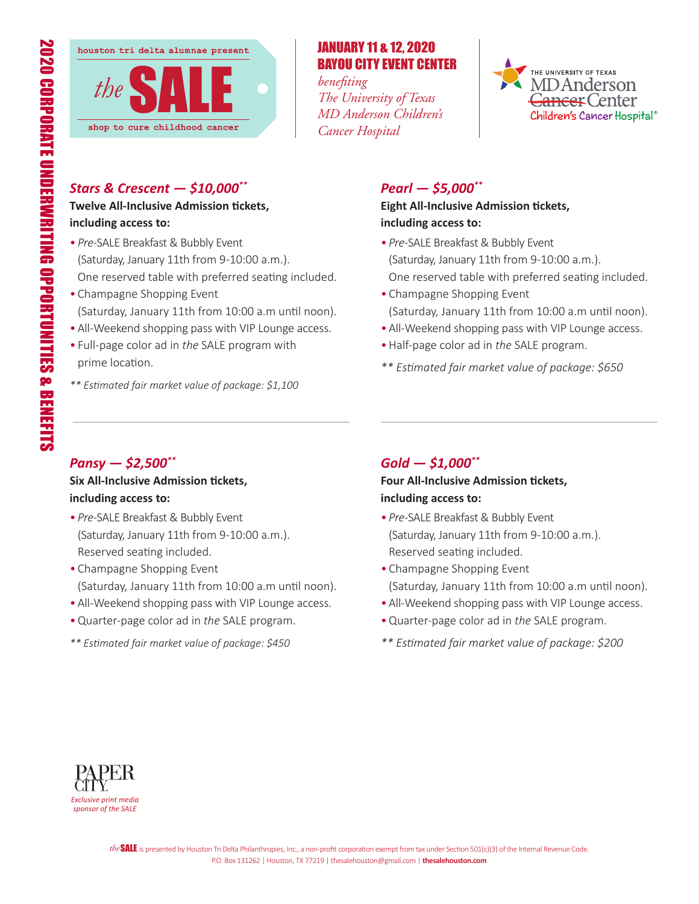

## JANUARY 11 & 12, 2020 BAYOU CITY EVENT CENTER

*benefiting The University of Texas MD Anderson Children's Cancer Hospital*



## *Stars & Crescent — \$10,000\*\**

#### **Twelve All-Inclusive Admission tickets, including access to:**

- *Pre-*SALE Breakfast & Bubbly Event (Saturday, January 11th from 9-10:00 a.m.). One reserved table with preferred seating included.
- Champagne Shopping Event (Saturday, January 11th from 10:00 a.m until noon).
- All-Weekend shopping pass with VIP Lounge access.
- Full-page color ad in *the* SALE program with prime location.
- *\*\* Estimated fair market value of package: \$1,100*

# *Pearl — \$5,000\*\**

### **Eight All-Inclusive Admission tickets, including access to:**

- *Pre-*SALE Breakfast & Bubbly Event (Saturday, January 11th from 9-10:00 a.m.). One reserved table with preferred seating included.
- Champagne Shopping Event (Saturday, January 11th from 10:00 a.m until noon).
- All-Weekend shopping pass with VIP Lounge access.
- •Half-page color ad in *the* SALE program.
- *\*\* Estimated fair market value of package: \$650*

## *Pansy — \$2,500\*\**

## **Six All-Inclusive Admission tickets, including access to:**

- *Pre-*SALE Breakfast & Bubbly Event (Saturday, January 11th from 9-10:00 a.m.). Reserved seating included.
- Champagne Shopping Event (Saturday, January 11th from 10:00 a.m until noon).
- •All-Weekend shopping pass with VIP Lounge access.
- •Quarter-page color ad in *the* SALE program.
- *\*\* Estimated fair market value of package: \$450*

# *Gold — \$1,000\*\**

**Four All-Inclusive Admission tickets, including access to:**

- *Pre-*SALE Breakfast & Bubbly Event (Saturday, January 11th from 9-10:00 a.m.). Reserved seating included.
- Champagne Shopping Event (Saturday, January 11th from 10:00 a.m until noon).
- All-Weekend shopping pass with VIP Lounge access.
- •Quarter-page color ad in *the* SALE program.
- *\*\* Estimated fair market value of package: \$200*